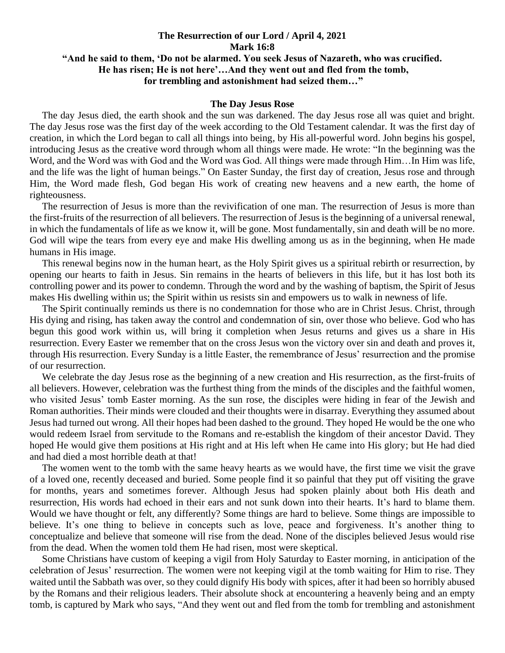## **The Resurrection of our Lord / April 4, 2021 Mark 16:8 "And he said to them, 'Do not be alarmed. You seek Jesus of Nazareth, who was crucified. He has risen; He is not here'…And they went out and fled from the tomb, for trembling and astonishment had seized them…"**

## **The Day Jesus Rose**

 The day Jesus died, the earth shook and the sun was darkened. The day Jesus rose all was quiet and bright. The day Jesus rose was the first day of the week according to the Old Testament calendar. It was the first day of creation, in which the Lord began to call all things into being, by His all-powerful word. John begins his gospel, introducing Jesus as the creative word through whom all things were made. He wrote: "In the beginning was the Word, and the Word was with God and the Word was God. All things were made through Him...In Him was life, and the life was the light of human beings." On Easter Sunday, the first day of creation, Jesus rose and through Him, the Word made flesh, God began His work of creating new heavens and a new earth, the home of righteousness.

 The resurrection of Jesus is more than the revivification of one man. The resurrection of Jesus is more than the first-fruits of the resurrection of all believers. The resurrection of Jesus is the beginning of a universal renewal, in which the fundamentals of life as we know it, will be gone. Most fundamentally, sin and death will be no more. God will wipe the tears from every eye and make His dwelling among us as in the beginning, when He made humans in His image.

 This renewal begins now in the human heart, as the Holy Spirit gives us a spiritual rebirth or resurrection, by opening our hearts to faith in Jesus. Sin remains in the hearts of believers in this life, but it has lost both its controlling power and its power to condemn. Through the word and by the washing of baptism, the Spirit of Jesus makes His dwelling within us; the Spirit within us resists sin and empowers us to walk in newness of life.

 The Spirit continually reminds us there is no condemnation for those who are in Christ Jesus. Christ, through His dying and rising, has taken away the control and condemnation of sin, over those who believe. God who has begun this good work within us, will bring it completion when Jesus returns and gives us a share in His resurrection. Every Easter we remember that on the cross Jesus won the victory over sin and death and proves it, through His resurrection. Every Sunday is a little Easter, the remembrance of Jesus' resurrection and the promise of our resurrection.

 We celebrate the day Jesus rose as the beginning of a new creation and His resurrection, as the first-fruits of all believers. However, celebration was the furthest thing from the minds of the disciples and the faithful women, who visited Jesus' tomb Easter morning. As the sun rose, the disciples were hiding in fear of the Jewish and Roman authorities. Their minds were clouded and their thoughts were in disarray. Everything they assumed about Jesus had turned out wrong. All their hopes had been dashed to the ground. They hoped He would be the one who would redeem Israel from servitude to the Romans and re-establish the kingdom of their ancestor David. They hoped He would give them positions at His right and at His left when He came into His glory; but He had died and had died a most horrible death at that!

 The women went to the tomb with the same heavy hearts as we would have, the first time we visit the grave of a loved one, recently deceased and buried. Some people find it so painful that they put off visiting the grave for months, years and sometimes forever. Although Jesus had spoken plainly about both His death and resurrection, His words had echoed in their ears and not sunk down into their hearts. It's hard to blame them. Would we have thought or felt, any differently? Some things are hard to believe. Some things are impossible to believe. It's one thing to believe in concepts such as love, peace and forgiveness. It's another thing to conceptualize and believe that someone will rise from the dead. None of the disciples believed Jesus would rise from the dead. When the women told them He had risen, most were skeptical.

 Some Christians have custom of keeping a vigil from Holy Saturday to Easter morning, in anticipation of the celebration of Jesus' resurrection. The women were not keeping vigil at the tomb waiting for Him to rise. They waited until the Sabbath was over, so they could dignify His body with spices, after it had been so horribly abused by the Romans and their religious leaders. Their absolute shock at encountering a heavenly being and an empty tomb, is captured by Mark who says, "And they went out and fled from the tomb for trembling and astonishment